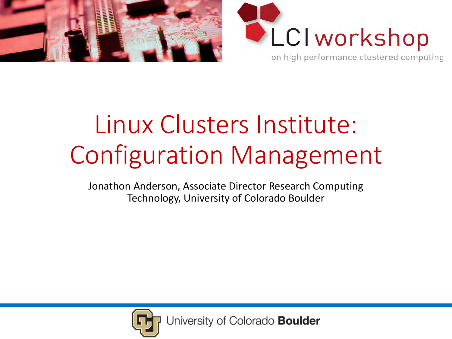



# Linux Clusters Institute: Configuration Management

Jonathon Anderson, Associate Director Research Computing Technology, University of Colorado Boulder

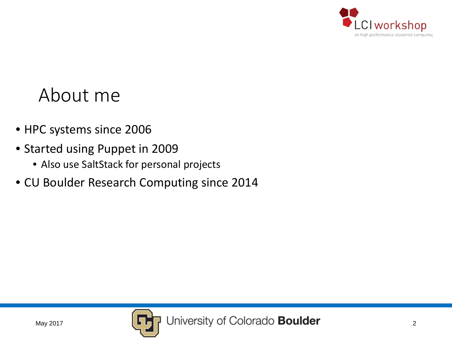

#### About me

- HPC systems since 2006
- Started using Puppet in 2009
	- Also use SaltStack for personal projects
- CU Boulder Research Computing since 2014

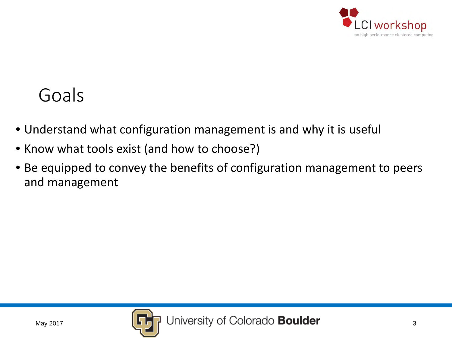

### Goals

- Understand what configuration management is and why it is useful
- Know what tools exist (and how to choose?)
- Be equipped to convey the benefits of configuration management to peers and management

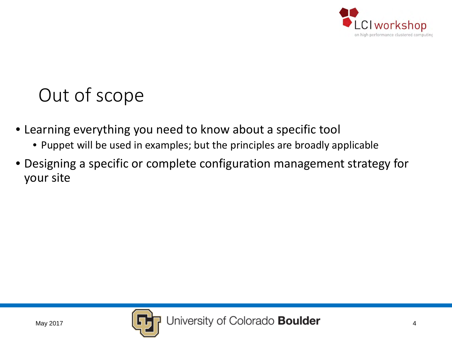

## Out of scope

- Learning everything you need to know about a specific tool
	- Puppet will be used in examples; but the principles are broadly applicable
- Designing a specific or complete configuration management strategy for your site

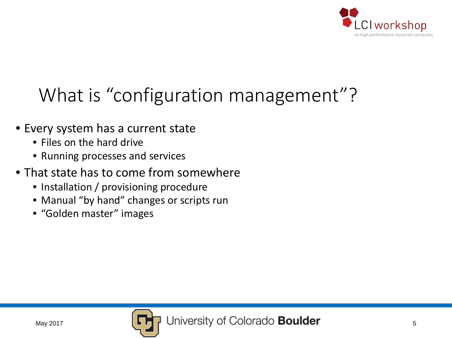

# What is "configuration management"?

- Every system has a current state
	- Files on the hard drive
	- Running processes and services
- That state has to come from somewhere
	- Installation / provisioning procedure
	- Manual "by hand" changes or scripts run
	- "Golden master" images

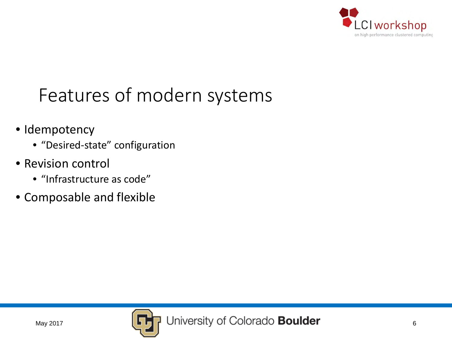

### Features of modern systems

- Idempotency
	- "Desired-state" configuration
- Revision control
	- "Infrastructure as code"
- Composable and flexible

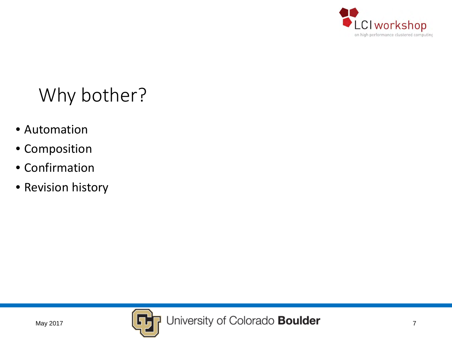

# Why bother?

- Automation
- Composition
- Confirmation
- Revision history

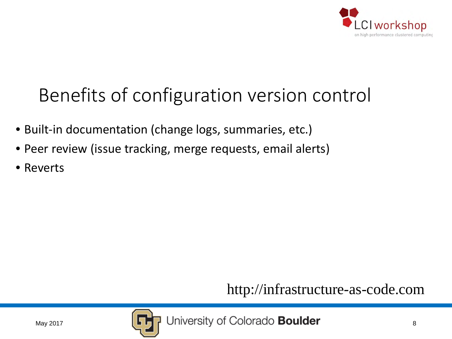

# Benefits of configuration version control

- Built-in documentation (change logs, summaries, etc.)
- Peer review (issue tracking, merge requests, email alerts)
- Reverts

http://infrastructure-as-code.com

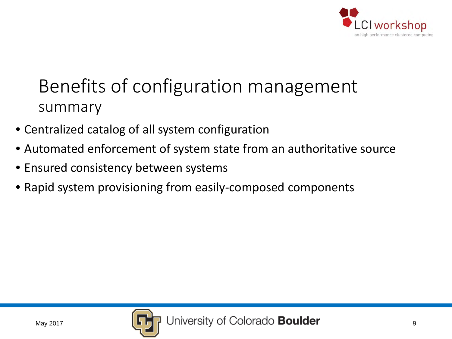

### Benefits of configuration management summary

- Centralized catalog of all system configuration
- Automated enforcement of system state from an authoritative source
- Ensured consistency between systems
- Rapid system provisioning from easily-composed components

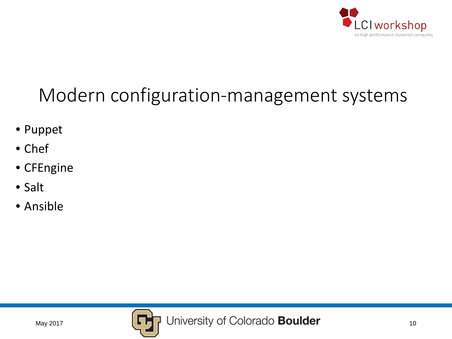

# Modern configuration-management systems

- Puppet
- Chef
- CFEngine
- Salt
- Ansible

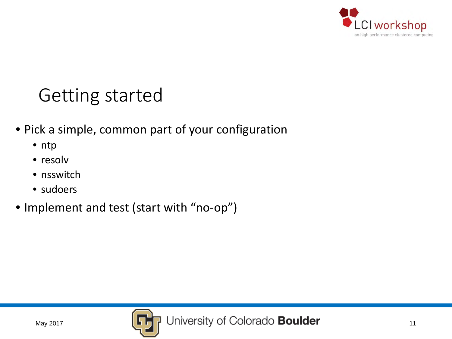

### Getting started

- Pick a simple, common part of your configuration
	- ntp
	- resolv
	- nsswitch
	- sudoers
- Implement and test (start with "no-op")

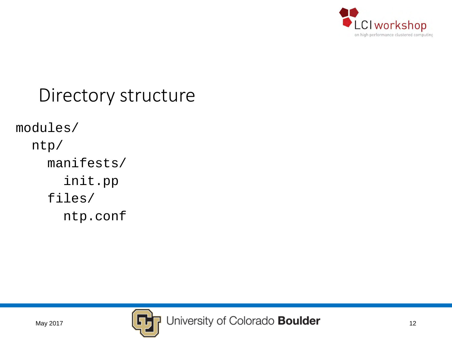

#### Directory structure

modules/ ntp/ manifests/

init.pp

files/

ntp.conf

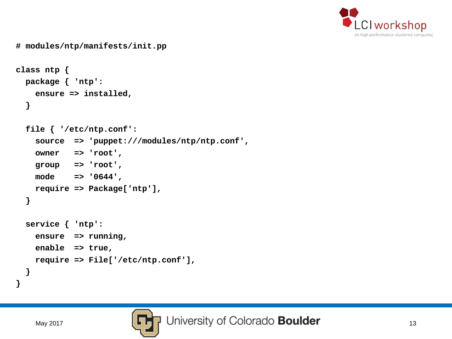

```
class ntp {
 package { 'ntp':
   ensure => installed,
  }
  file { '/etc/ntp.conf':
    source => 'puppet:///modules/ntp/ntp.conf',
   owner => 'root',
   group => 'root',
   mode => '0644',
   require => Package['ntp'],
  }
  service { 'ntp':
    ensure => running,
   enable => true,
   require => File['/etc/ntp.conf'],
  }
}
```
**# modules/ntp/manifests/init.pp**

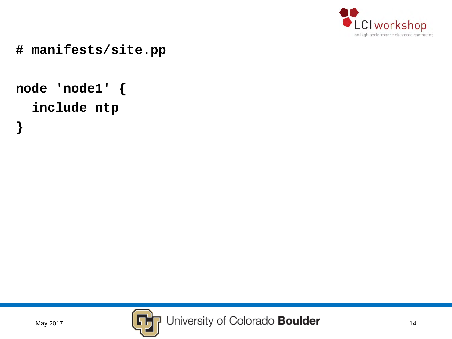

**# manifests/site.pp**

```
node 'node1' {
  include ntp
}
```
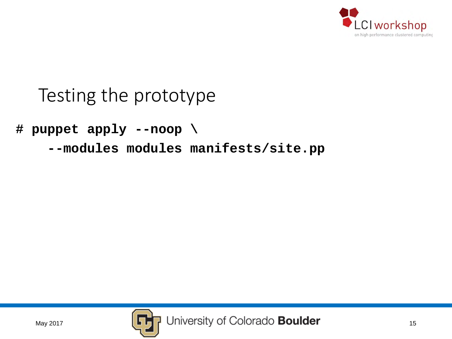

### Testing the prototype

**# puppet apply --noop \**

**--modules modules manifests/site.pp**

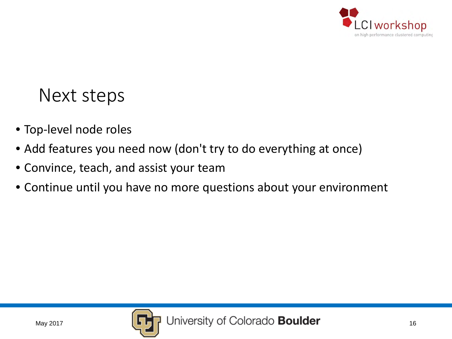

#### Next steps

- Top-level node roles
- Add features you need now (don't try to do everything at once)
- Convince, teach, and assist your team
- Continue until you have no more questions about your environment

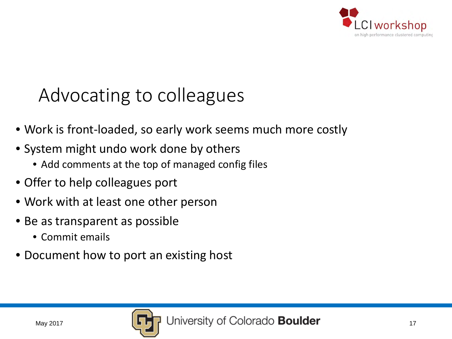

### Advocating to colleagues

- Work is front-loaded, so early work seems much more costly
- System might undo work done by others
	- Add comments at the top of managed config files
- Offer to help colleagues port
- Work with at least one other person
- Be as transparent as possible
	- Commit emails
- Document how to port an existing host

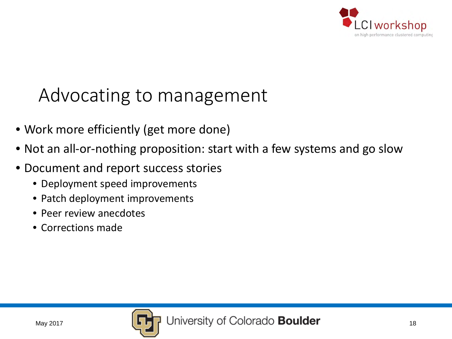

### Advocating to management

- Work more efficiently (get more done)
- Not an all-or-nothing proposition: start with a few systems and go slow
- Document and report success stories
	- Deployment speed improvements
	- Patch deployment improvements
	- Peer review anecdotes
	- Corrections made